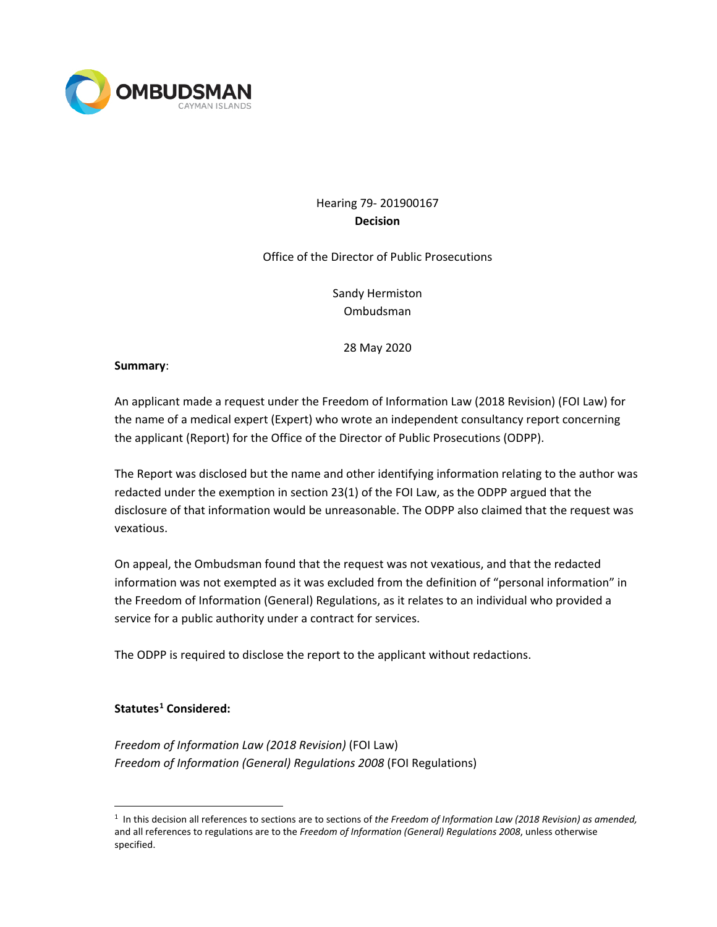

## Hearing 79- 201900167 **Decision**

Office of the Director of Public Prosecutions

Sandy Hermiston Ombudsman

28 May 2020

#### **Summary**:

An applicant made a request under the Freedom of Information Law (2018 Revision) (FOI Law) for the name of a medical expert (Expert) who wrote an independent consultancy report concerning the applicant (Report) for the Office of the Director of Public Prosecutions (ODPP).

The Report was disclosed but the name and other identifying information relating to the author was redacted under the exemption in section 23(1) of the FOI Law, as the ODPP argued that the disclosure of that information would be unreasonable. The ODPP also claimed that the request was vexatious.

On appeal, the Ombudsman found that the request was not vexatious, and that the redacted information was not exempted as it was excluded from the definition of "personal information" in the Freedom of Information (General) Regulations, as it relates to an individual who provided a service for a public authority under a contract for services.

The ODPP is required to disclose the report to the applicant without redactions.

### **Statutes[1](#page-0-0) Considered:**

*Freedom of Information Law (2018 Revision)* (FOI Law) *Freedom of Information (General) Regulations 2008* (FOI Regulations)

<span id="page-0-0"></span><sup>1</sup> In this decision all references to sections are to sections of *the Freedom of Information Law (2018 Revision) as amended,*  and all references to regulations are to the *Freedom of Information (General) Regulations 2008*, unless otherwise specified.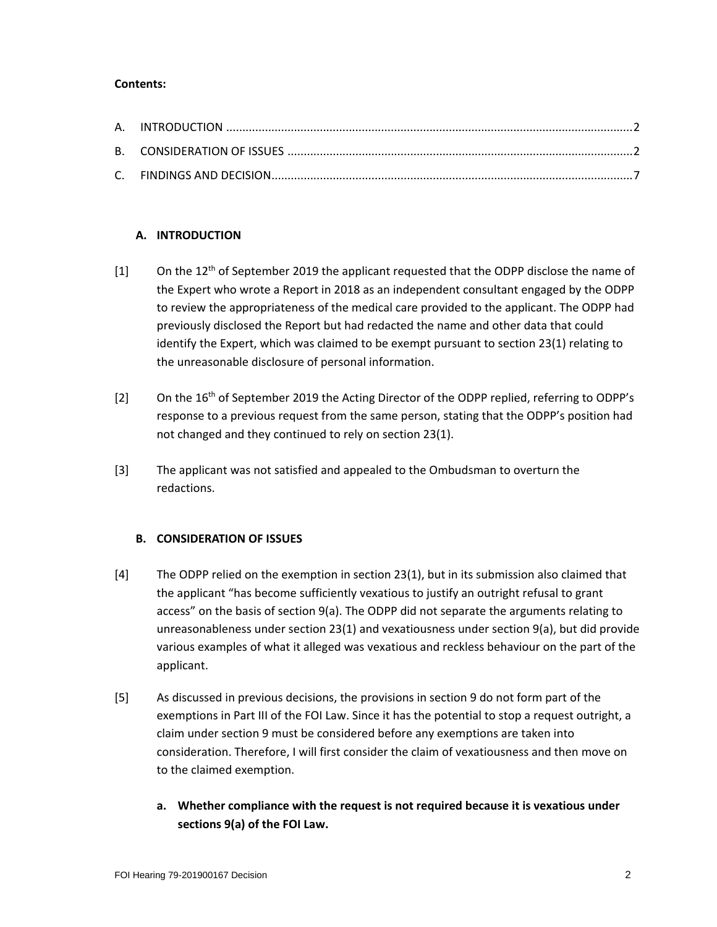#### **Contents:**

### **A. INTRODUCTION**

- $[1]$  On the 12<sup>th</sup> of September 2019 the applicant requested that the ODPP disclose the name of the Expert who wrote a Report in 2018 as an independent consultant engaged by the ODPP to review the appropriateness of the medical care provided to the applicant. The ODPP had previously disclosed the Report but had redacted the name and other data that could identify the Expert, which was claimed to be exempt pursuant to section 23(1) relating to the unreasonable disclosure of personal information.
- [2] On the 16<sup>th</sup> of September 2019 the Acting Director of the ODPP replied, referring to ODPP's response to a previous request from the same person, stating that the ODPP's position had not changed and they continued to rely on section 23(1).
- [3] The applicant was not satisfied and appealed to the Ombudsman to overturn the redactions.

### **B. CONSIDERATION OF ISSUES**

- [4] The ODPP relied on the exemption in section 23(1), but in its submission also claimed that the applicant "has become sufficiently vexatious to justify an outright refusal to grant access" on the basis of section 9(a). The ODPP did not separate the arguments relating to unreasonableness under section 23(1) and vexatiousness under section 9(a), but did provide various examples of what it alleged was vexatious and reckless behaviour on the part of the applicant.
- [5] As discussed in previous decisions, the provisions in section 9 do not form part of the exemptions in Part III of the FOI Law. Since it has the potential to stop a request outright, a claim under section 9 must be considered before any exemptions are taken into consideration. Therefore, I will first consider the claim of vexatiousness and then move on to the claimed exemption.
	- **a. Whether compliance with the request is not required because it is vexatious under sections 9(a) of the FOI Law.**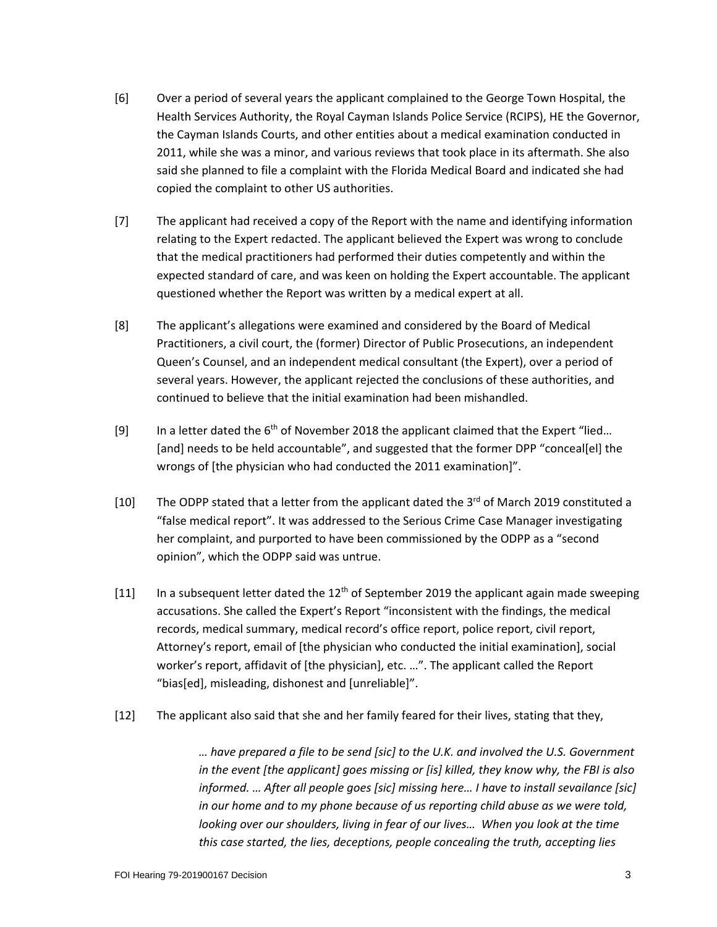- [6] Over a period of several years the applicant complained to the George Town Hospital, the Health Services Authority, the Royal Cayman Islands Police Service (RCIPS), HE the Governor, the Cayman Islands Courts, and other entities about a medical examination conducted in 2011, while she was a minor, and various reviews that took place in its aftermath. She also said she planned to file a complaint with the Florida Medical Board and indicated she had copied the complaint to other US authorities.
- [7] The applicant had received a copy of the Report with the name and identifying information relating to the Expert redacted. The applicant believed the Expert was wrong to conclude that the medical practitioners had performed their duties competently and within the expected standard of care, and was keen on holding the Expert accountable. The applicant questioned whether the Report was written by a medical expert at all.
- [8] The applicant's allegations were examined and considered by the Board of Medical Practitioners, a civil court, the (former) Director of Public Prosecutions, an independent Queen's Counsel, and an independent medical consultant (the Expert), over a period of several years. However, the applicant rejected the conclusions of these authorities, and continued to believe that the initial examination had been mishandled.
- [9] In a letter dated the 6<sup>th</sup> of November 2018 the applicant claimed that the Expert "lied... [and] needs to be held accountable", and suggested that the former DPP "conceal[el] the wrongs of [the physician who had conducted the 2011 examination]".
- [10] The ODPP stated that a letter from the applicant dated the 3<sup>rd</sup> of March 2019 constituted a "false medical report". It was addressed to the Serious Crime Case Manager investigating her complaint, and purported to have been commissioned by the ODPP as a "second opinion", which the ODPP said was untrue.
- [11] In a subsequent letter dated the  $12<sup>th</sup>$  of September 2019 the applicant again made sweeping accusations. She called the Expert's Report "inconsistent with the findings, the medical records, medical summary, medical record's office report, police report, civil report, Attorney's report, email of [the physician who conducted the initial examination], social worker's report, affidavit of [the physician], etc. …". The applicant called the Report "bias[ed], misleading, dishonest and [unreliable]".
- [12] The applicant also said that she and her family feared for their lives, stating that they,

*… have prepared a file to be send [sic] to the U.K. and involved the U.S. Government in the event [the applicant] goes missing or [is] killed, they know why, the FBI is also informed. … After all people goes [sic] missing here… I have to install sevailance [sic] in our home and to my phone because of us reporting child abuse as we were told, looking over our shoulders, living in fear of our lives...* When you look at the time *this case started, the lies, deceptions, people concealing the truth, accepting lies*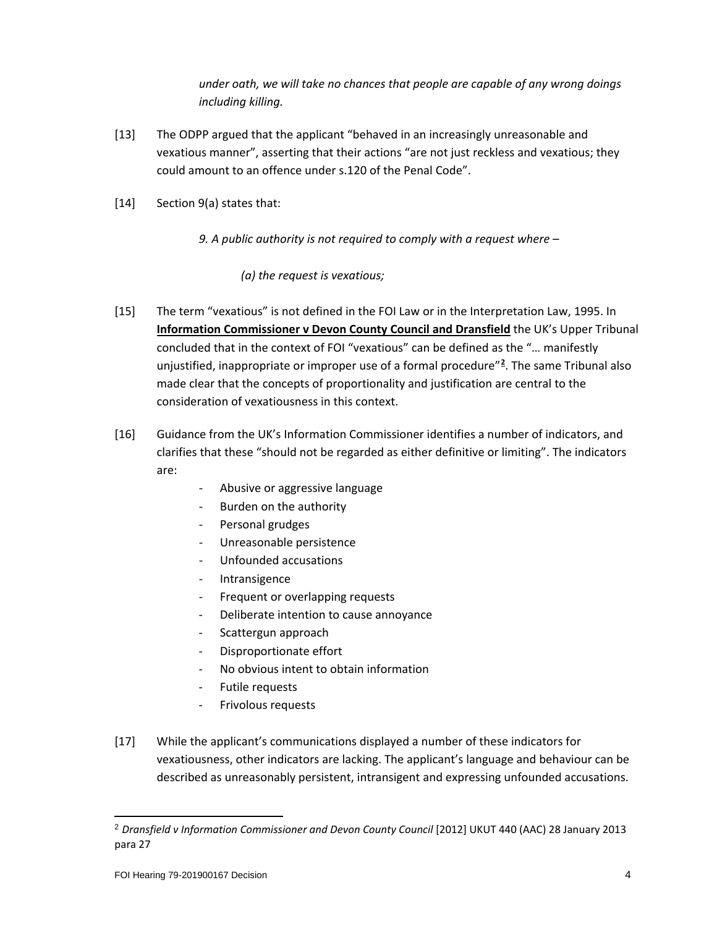*under oath, we will take no chances that people are capable of any wrong doings including killing.*

- [13] The ODPP argued that the applicant "behaved in an increasingly unreasonable and vexatious manner", asserting that their actions "are not just reckless and vexatious; they could amount to an offence under s.120 of the Penal Code".
- [14] Section 9(a) states that:

*9. A public authority is not required to comply with a request where –*

*(a) the request is vexatious;*

- [15] The term "vexatious" is not defined in the FOI Law or in the Interpretation Law, 1995. In **Information Commissioner v Devon County Council and Dransfield** the UK's Upper Tribunal concluded that in the context of FOI "vexatious" can be defined as the "… manifestly unjustified, inappropriate or improper use of a formal procedure"**[2](#page-3-0)** . The same Tribunal also made clear that the concepts of proportionality and justification are central to the consideration of vexatiousness in this context.
- [16] Guidance from the UK's Information Commissioner identifies a number of indicators, and clarifies that these "should not be regarded as either definitive or limiting". The indicators are:
	- Abusive or aggressive language
	- Burden on the authority
	- Personal grudges
	- Unreasonable persistence
	- Unfounded accusations
	- **Intransigence**
	- Frequent or overlapping requests
	- Deliberate intention to cause annoyance
	- Scattergun approach
	- Disproportionate effort
	- No obvious intent to obtain information
	- Futile requests
	- Frivolous requests
- [17] While the applicant's communications displayed a number of these indicators for vexatiousness, other indicators are lacking. The applicant's language and behaviour can be described as unreasonably persistent, intransigent and expressing unfounded accusations.

<span id="page-3-0"></span><sup>2</sup> *Dransfield v Information Commissioner and Devon County Council* [2012] UKUT 440 (AAC) 28 January 2013 para 27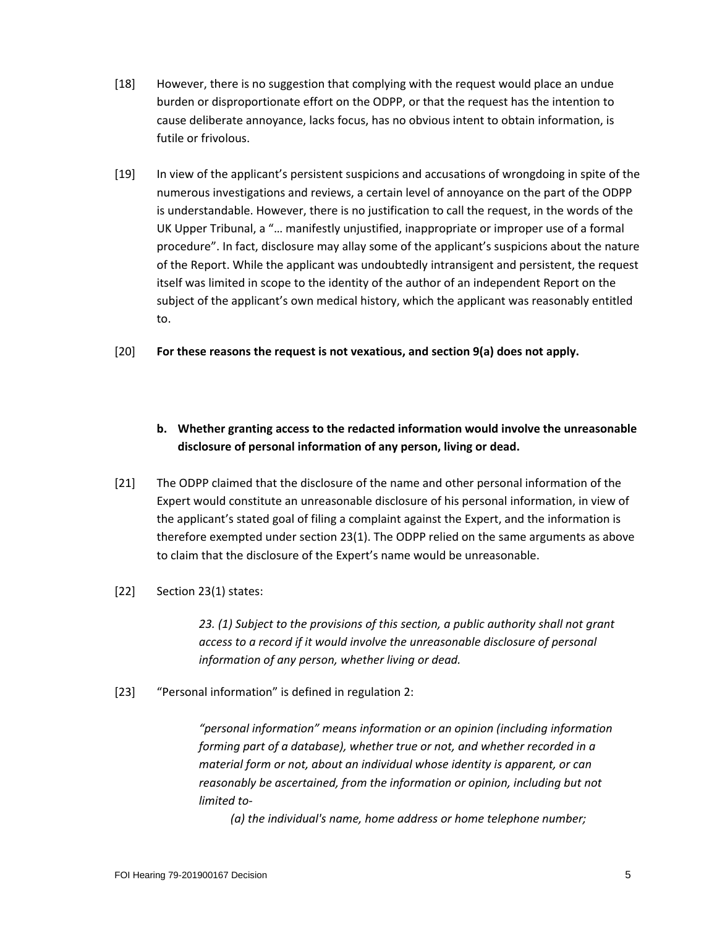- [18] However, there is no suggestion that complying with the request would place an undue burden or disproportionate effort on the ODPP, or that the request has the intention to cause deliberate annoyance, lacks focus, has no obvious intent to obtain information, is futile or frivolous.
- [19] In view of the applicant's persistent suspicions and accusations of wrongdoing in spite of the numerous investigations and reviews, a certain level of annoyance on the part of the ODPP is understandable. However, there is no justification to call the request, in the words of the UK Upper Tribunal, a "… manifestly unjustified, inappropriate or improper use of a formal procedure". In fact, disclosure may allay some of the applicant's suspicions about the nature of the Report. While the applicant was undoubtedly intransigent and persistent, the request itself was limited in scope to the identity of the author of an independent Report on the subject of the applicant's own medical history, which the applicant was reasonably entitled to.
- [20] **For these reasons the request is not vexatious, and section 9(a) does not apply.**

# **b. Whether granting access to the redacted information would involve the unreasonable disclosure of personal information of any person, living or dead.**

- [21] The ODPP claimed that the disclosure of the name and other personal information of the Expert would constitute an unreasonable disclosure of his personal information, in view of the applicant's stated goal of filing a complaint against the Expert, and the information is therefore exempted under section 23(1). The ODPP relied on the same arguments as above to claim that the disclosure of the Expert's name would be unreasonable.
- [22] Section 23(1) states:

*23. (1) Subject to the provisions of this section, a public authority shall not grant access to a record if it would involve the unreasonable disclosure of personal information of any person, whether living or dead.*

[23] "Personal information" is defined in regulation 2:

*"personal information" means information or an opinion (including information forming part of a database), whether true or not, and whether recorded in a material form or not, about an individual whose identity is apparent, or can reasonably be ascertained, from the information or opinion, including but not limited to-*

*(a) the individual's name, home address or home telephone number;*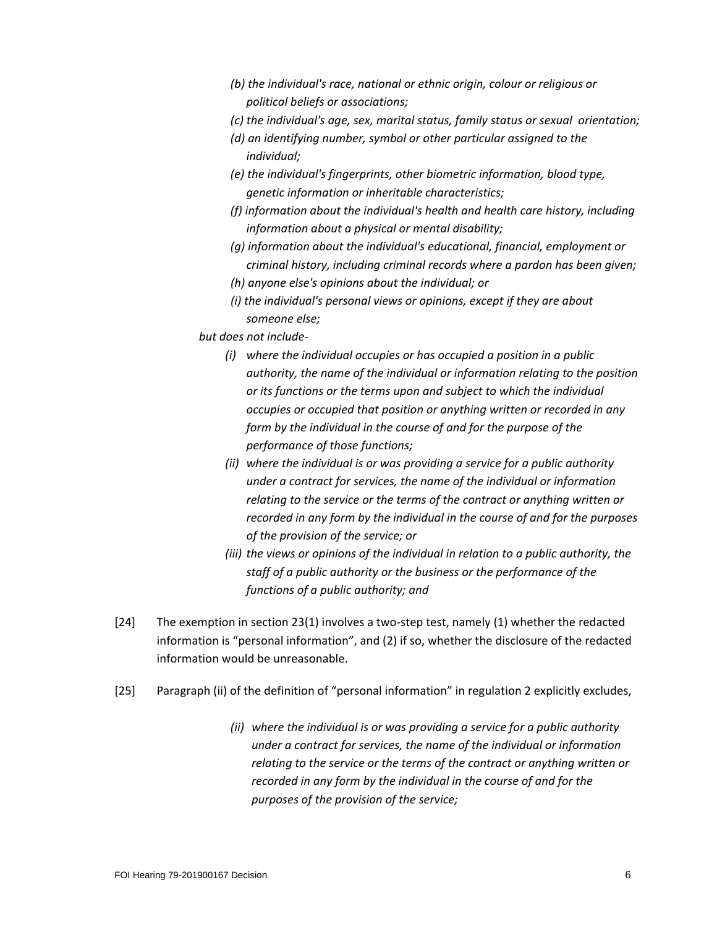- *(b) the individual's race, national or ethnic origin, colour or religious or political beliefs or associations;*
- *(c) the individual's age, sex, marital status, family status or sexual orientation;*
- *(d) an identifying number, symbol or other particular assigned to the individual;*
- *(e) the individual's fingerprints, other biometric information, blood type, genetic information or inheritable characteristics;*
- *(f) information about the individual's health and health care history, including information about a physical or mental disability;*
- *(g) information about the individual's educational, financial, employment or criminal history, including criminal records where a pardon has been given;*
- *(h) anyone else's opinions about the individual; or*
- *(i) the individual's personal views or opinions, except if they are about someone else;*
- *but does not include-*
	- *(i) where the individual occupies or has occupied a position in a public authority, the name of the individual or information relating to the position or its functions or the terms upon and subject to which the individual occupies or occupied that position or anything written or recorded in any form by the individual in the course of and for the purpose of the performance of those functions;*
	- *(ii) where the individual is or was providing a service for a public authority under a contract for services, the name of the individual or information relating to the service or the terms of the contract or anything written or recorded in any form by the individual in the course of and for the purposes of the provision of the service; or*
	- *(iii) the views or opinions of the individual in relation to a public authority, the staff of a public authority or the business or the performance of the functions of a public authority; and*
- [24] The exemption in section 23(1) involves a two-step test, namely (1) whether the redacted information is "personal information", and (2) if so, whether the disclosure of the redacted information would be unreasonable.
- [25] Paragraph (ii) of the definition of "personal information" in regulation 2 explicitly excludes,
	- *(ii) where the individual is or was providing a service for a public authority under a contract for services, the name of the individual or information relating to the service or the terms of the contract or anything written or recorded in any form by the individual in the course of and for the purposes of the provision of the service;*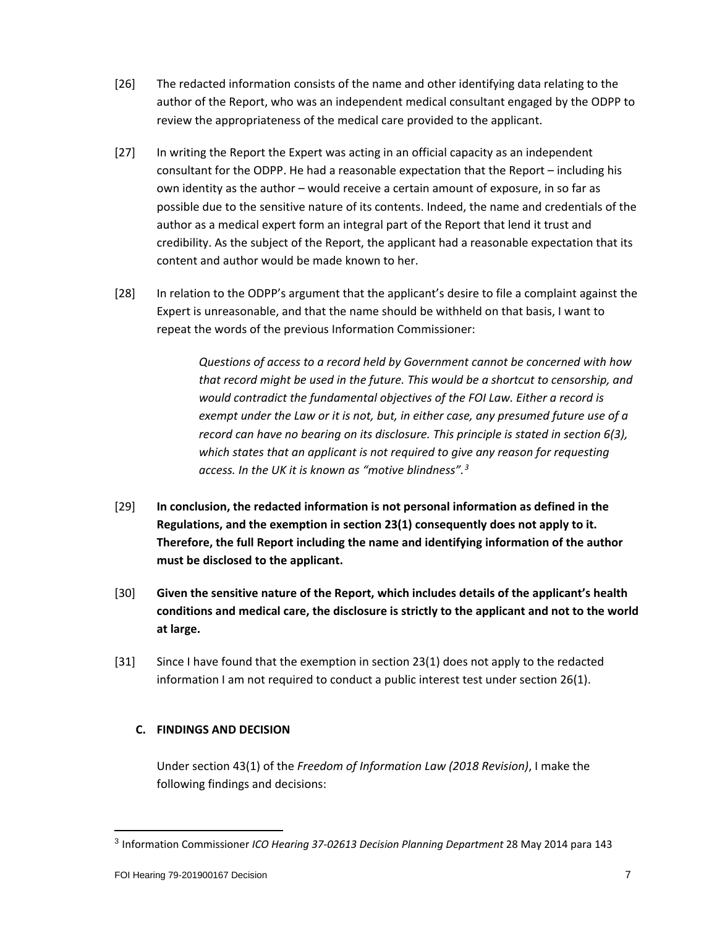- [26] The redacted information consists of the name and other identifying data relating to the author of the Report, who was an independent medical consultant engaged by the ODPP to review the appropriateness of the medical care provided to the applicant.
- [27] In writing the Report the Expert was acting in an official capacity as an independent consultant for the ODPP. He had a reasonable expectation that the Report – including his own identity as the author – would receive a certain amount of exposure, in so far as possible due to the sensitive nature of its contents. Indeed, the name and credentials of the author as a medical expert form an integral part of the Report that lend it trust and credibility. As the subject of the Report, the applicant had a reasonable expectation that its content and author would be made known to her.
- [28] In relation to the ODPP's argument that the applicant's desire to file a complaint against the Expert is unreasonable, and that the name should be withheld on that basis, I want to repeat the words of the previous Information Commissioner:

*Questions of access to a record held by Government cannot be concerned with how that record might be used in the future. This would be a shortcut to censorship, and would contradict the fundamental objectives of the FOI Law. Either a record is exempt under the Law or it is not, but, in either case, any presumed future use of a record can have no bearing on its disclosure. This principle is stated in section 6(3), which states that an applicant is not required to give any reason for requesting access. In the UK it is known as "motive blindness".[3](#page-6-0)*

- [29] **In conclusion, the redacted information is not personal information as defined in the Regulations, and the exemption in section 23(1) consequently does not apply to it. Therefore, the full Report including the name and identifying information of the author must be disclosed to the applicant.**
- [30] **Given the sensitive nature of the Report, which includes details of the applicant's health conditions and medical care, the disclosure is strictly to the applicant and not to the world at large.**
- [31] Since I have found that the exemption in section 23(1) does not apply to the redacted information I am not required to conduct a public interest test under section 26(1).

### **C. FINDINGS AND DECISION**

Under section 43(1) of the *Freedom of Information Law (2018 Revision)*, I make the following findings and decisions:

<span id="page-6-0"></span><sup>3</sup> Information Commissioner *ICO Hearing 37-02613 Decision Planning Department* 28 May 2014 para 143